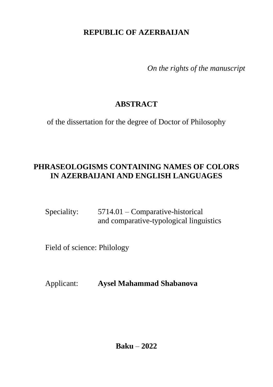## **REPUBLIC OF AZERBAIJAN**

*On the rights of the manuscript*

# **ABSTRACT**

of the dissertation for the degree of Doctor of Philosophy

## **PHRASEOLOGISMS CONTAINING NAMES OF COLORS IN AZERBAIJANI AND ENGLISH LANGUAGES**

Speciality: 5714.01 – Comparative-historical and comparative-typological linguistics

Field of science: Philology

Applicant: **Aysel Mahammad Shabanova**

**Baku** – **2022**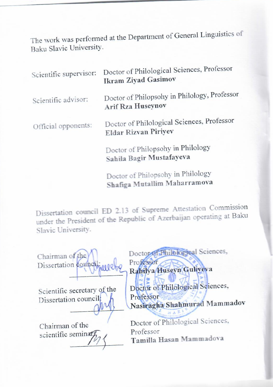The work was performed at the Department of General Linguistics of The work was performed

| Scientific supervisor: | Doctor of Philological Sciences, Professor<br><b>Ikram Ziyad Gasimov</b>  |
|------------------------|---------------------------------------------------------------------------|
| Scientific advisor:    | Doctor of Philopsohy in Philology, Professor<br><b>Arif Rza Huseynov</b>  |
| Official opponents:    | Doctor of Philological Sciences, Professor<br><b>Eldar Rizvan Piriyev</b> |
|                        | Doctor of Philopsohy in Philology<br>Sahila Bagir Mustafayeva             |

Doctor of Philopsohy in Philology **Shafiga Mutallim Maharramova**

Dissertation council ED 2.13 of Supreme Attestation Commission under the President of the Republic of Azerbaijan operating at Baku Slavic University.

Chairman of the Dissertation council  $\frac{1}{2}$ 

 $\frac{(\gamma \gamma)}{\gamma}$ 

Scientific secretary of the Dissertation council:

\_\_\_\_\_\_\_\_\_\_\_\_\_\_ **Tamilla Hasan Mammadova** 

Doctor of Philological Sciences, Professor

# **Rahilya Huseyn Guliyeva**

Doctor of Philological Sciences,<br>Professor **Professor NASIRAGHA MATIE** 

Chairman of the Doctor of Philological Sciences, scientific seminar $\mathcal{V}_{\ell}$  Professor<br>Tamilla Hasan Mammadova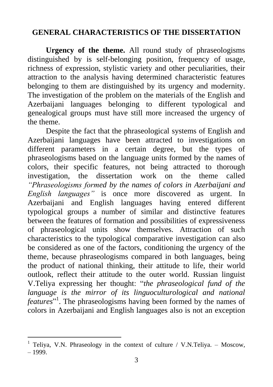## **GENERAL CHARACTERISTICS OF THE DISSERTATION**

**Urgency of the theme.** All round study of phraseologisms distinguished by is self-belonging position, frequency of usage, richness of expression, stylistic variety and other peculiarities, their attraction to the analysis having determined characteristic features belonging to them are distinguished by its urgency and modernity. The investigation of the problem on the materials of the English and Azerbaijani languages belonging to different typological and genealogical groups must have still more increased the urgency of the theme.

Despite the fact that the phraseological systems of English and Azerbaijani languages have been attracted to investigations on different parameters in a certain degree, but the types of phraseologisms based on the language units formed by the names of colors, their specific features, not being attracted to thorough investigation, the dissertation work on the theme called *"Phraseologisms formed by the names of colors in Azerbaijani and English languages"* is once more discovered as urgent. In Azerbaijani and English languages having entered different typological groups a number of similar and distinctive features between the features of formation and possibilities of expressiveness of phraseological units show themselves. Attraction of such characteristics to the typological comparative investigation can also be considered as one of the factors, conditioning the urgency of the theme, because phraseologisms compared in both languages, being the product of national thinking, their attitude to life, their world outlook, reflect their attitude to the outer world. Russian linguist V.Teliya expressing her thought: ―*the phraseological fund of the language is the mirror of its linguoculturological and national*  features<sup>"1</sup>. The phraseologisms having been formed by the names of colors in Azerbaijani and English languages also is not an exception

<sup>&</sup>lt;sup>1</sup> Teliya, V.N. Phraseology in the context of culture / V.N.Teliya. - Moscow, – 1999.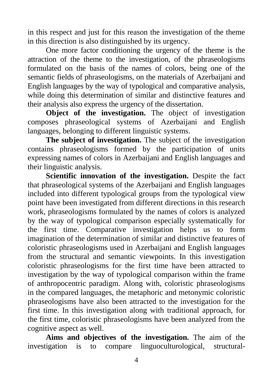in this respect and just for this reason the investigation of the theme in this direction is also distinguished by its urgency.

One more factor conditioning the urgency of the theme is the attraction of the theme to the investigation, of the phraseologisms formulated on the basis of the names of colors, being one of the semantic fields of phraseologisms, on the materials of Azerbaijani and English languages by the way of typological and comparative analysis, while doing this determination of similar and distinctive features and their analysis also express the urgency of the dissertation.

**Object of the investigation.** The object of investigation composes phraseological systems of Azerbaijani and English languages, belonging to different linguistic systems.

**The subject of investigation.** The subject of the investigation contains phraseologisms formed by the participation of units expressing names of colors in Azerbaijani and English languages and their linguistic analysis.

**Scientific innovation of the investigation.** Despite the fact that phraseological systems of the Azerbaijani and English languages included into different typological groups from the typological view point have been investigated from different directions in this research work, phraseologisms formulated by the names of colors is analyzed by the way of typological comparison especially systematically for the first time. Comparative investigation helps us to form imagination of the determination of similar and distinctive features of coloristic phraseologisms used in Azerbaijani and English languages from the structural and semantic viewpoints. In this investigation coloristic phraseologisms for the first time have been attracted to investigation by the way of typological comparison within the frame of anthropocentric paradigm. Along with, coloristic phraseologisms in the compared languages, the metaphoric and metonymic coloristic phraseologisms have also been attracted to the investigation for the first time. In this investigation along with traditional approach, for the first time, coloristic phraseologisms have been analyzed from the cognitive aspect as well.

**Aims and objectives of the investigation.** The aim of the investigation is to compare linguoculturological, structural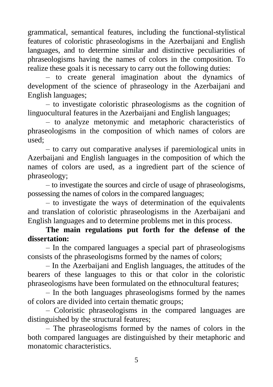grammatical, semantical features, including the functional-stylistical features of coloristic phraseologisms in the Azerbaijani and English languages, and to determine similar and distinctive peculiarities of phraseologisms having the names of colors in the composition. To realize these goals it is necessary to carry out the following duties:

– to create general imagination about the dynamics of development of the science of phraseology in the Azerbaijani and English languages;

– to investigate coloristic phraseologisms as the cognition of linguocultural features in the Azerbaijani and English languages;

– to analyze metonymic and metaphoric characteristics of phraseologisms in the composition of which names of colors are used;

– to carry out comparative analyses if paremiological units in Azerbaijani and English languages in the composition of which the names of colors are used, as a ingredient part of the science of phraseology;

– to investigate the sources and circle of usage of phraseologisms, possessing the names of colors in the compared languages;

– to investigate the ways of determination of the equivalents and translation of coloristic phraseologisms in the Azerbaijani and English languages and to determine problems met in this process.

**The main regulations put forth for the defense of the dissertation:** 

– In the compared languages a special part of phraseologisms consists of the phraseologisms formed by the names of colors;

– In the Azerbaijani and English languages, the attitudes of the bearers of these languages to this or that color in the coloristic phraseologisms have been formulated on the ethnocultural features;

– In the both languages phraseologisms formed by the names of colors are divided into certain thematic groups;

– Coloristic phraseologisms in the compared languages are distinguished by the structural features;

– The phraseologisms formed by the names of colors in the both compared languages are distinguished by their metaphoric and monatomic characteristics.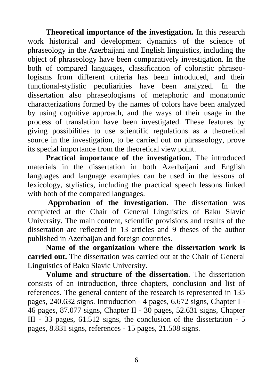**Theoretical importance of the investigation.** In this research work historical and development dynamics of the science of phraseology in the Azerbaijani and English linguistics, including the object of phraseology have been comparatively investigation. In the both of compared languages, classification of coloristic phraseologisms from different criteria has been introduced, and their functional-stylistic peculiarities have been analyzed. In the dissertation also phraseologisms of metaphoric and monatomic characterizations formed by the names of colors have been analyzed by using cognitive approach, and the ways of their usage in the process of translation have been investigated. These features by giving possibilities to use scientific regulations as a theoretical source in the investigation, to be carried out on phraseology, prove its special importance from the theoretical view point.

**Practical importance of the investigation.** The introduced materials in the dissertation in both Azerbaijani and English languages and language examples can be used in the lessons of lexicology, stylistics, including the practical speech lessons linked with both of the compared languages.

**Approbation of the investigation.** The dissertation was completed at the Chair of General Linguistics of Baku Slavic University. The main content, scientific provisions and results of the dissertation are reflected in 13 articles and 9 theses of the author published in Azerbaijan and foreign countries.

**Name of the organization where the dissertation work is carried out.** The dissertation was carried out at the Chair of General Linguistics of Baku Slavic University.

**Volume and structure of the dissertation**. The dissertation consists of an introduction, three chapters, conclusion and list of references. The general content of the research is represented in 135 pages, 240.632 signs. Introduction - 4 pages, 6.672 signs, Chapter I - 46 pages, 87.077 signs, Chapter II - 30 pages, 52.631 signs, Chapter III - 33 pages, 61.512 signs, the conclusion of the dissertation - 5 pages, 8.831 signs, references - 15 pages, 21.508 signs.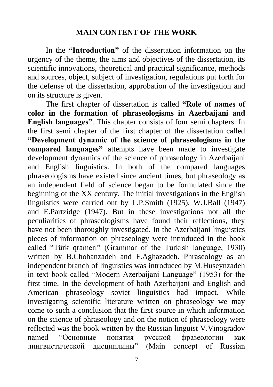#### **MAIN CONTENT OF THE WORK**

In the **"Introduction"** of the dissertation information on the urgency of the theme, the aims and objectives of the dissertation, its scientific innovations, theoretical and practical significance, methods and sources, object, subject of investigation, regulations put forth for the defense of the dissertation, approbation of the investigation and on its structure is given.

The first chapter of dissertation is called **"Role of names of color in the formation of phraseologisms in Azerbaijani and English languages"**. This chapter consists of four semi chapters. In the first semi chapter of the first chapter of the dissertation called **"Development dynamic of the science of phraseologisms in the compared languages"** attempts have been made to investigate development dynamics of the science of phraseology in Azerbaijani and English linguistics. In both of the compared languages phraseologisms have existed since ancient times, but phraseology as an independent field of science began to be formulated since the beginning of the XX century. The initial investigations in the English linguistics were carried out by L.P.Smith (1925), W.J.Ball (1947) and E.Partzidge (1947). But in these investigations not all the peculiarities of phraseologisms have found their reflections, they have not been thoroughly investigated. In the Azerbaijani linguistics pieces of information on phraseology were introduced in the book called "Türk qrameri" (Grammar of the Turkish language, 1930) written by B.Chobanzadeh and F.Aghazadeh. Phraseology as an independent branch of linguistics was introduced by M.Huseynzadeh in text book called "Modern Azerbaijani Language" (1953) for the first time. In the development of both Azerbaijani and English and American phraseology soviet linguistics had impact. While investigating scientific literature written on phraseology we may come to such a conclusion that the first source in which information on the science of phraseology and on the notion of phraseology were reflected was the book written by the Russian linguist V.Vinogradov named "Основные понятия русской фразеологии как лингвистической дисциплины" (Main concept of Russian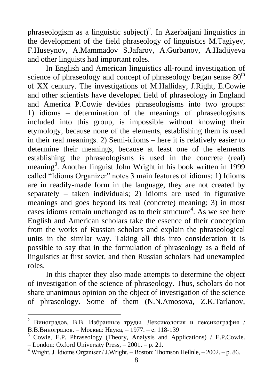phraseologism as a linguistic subject)<sup>2</sup>. In Azerbaijani linguistics in the development of the field phraseology of linguistics M.Tagiyev, F.Huseynov, A.Mammadov S.Jafarov, A.Gurbanov, A.Hadjiyeva and other linguists had important roles.

In English and American linguistics all-round investigation of science of phraseology and concept of phraseology began sense  $80<sup>th</sup>$ of XX century. The investigations of M.Halliday, J.Right, E.Cowie and other scientists have developed field of phraseology in England and America P.Cowie devides phraseologisms into two groups: 1) idioms – determination of the meanings of phraseologisms included into this group, is impossible without knowing their etymology, because none of the elements, establishing them is used in their real meanings. 2) Semi-idioms – here it is relatively easier to determine their meanings, because at least one of the elements establishing the phraseologisms is used in the concrete (real) meaning<sup>3</sup>. Another linguist John Wright in his book written in 1999 called "Idioms Organizer" notes 3 main features of idioms: 1) Idioms are in readily-made form in the language, they are not created by separately – taken individuals; 2) idioms are used in figurative meanings and goes beyond its real (concrete) meaning; 3) in most cases idioms remain unchanged as to their structure<sup>4</sup>. As we see here English and American scholars take the essence of their conception from the works of Russian scholars and explain the phraseological units in the similar way. Taking all this into consideration it is possible to say that in the formulation of phraseology as a field of linguistics at first soviet, and then Russian scholars had unexampled roles.

In this chapter they also made attempts to determine the object of investigation of the science of phraseology. Thus, scholars do not share unanimous opinion on the object of investigation of the science of phraseology. Some of them (N.N.Amosova, Z.K.Tarlanov,

<sup>2</sup> Виноградов, В.В. Избранные труды. Лексикология и лексикография / В.В.Виноградов. – Москва: Наука, – 1977. – с. 118-139

<sup>&</sup>lt;sup>3</sup> Cowie, E.P. Phraseology (Theory, Analysis and Applications) / E.P.Cowie. – London: Oxford University Press, – 2001. – p. 21.

<sup>&</sup>lt;sup>4</sup> Wright, J. Idioms Organiser / J.Wright. – Boston: Thomson Heilnle, – 2002. – p. 86.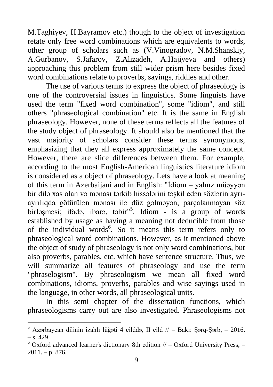M.Taghiyev, H.Bayramov etc.) though to the object of investigation retate only free word combinations which are equivalents to words, other group of scholars such as (V.Vinogradov, N.M.Shanskiy, A.Gurbanov, S.Jafarov, Z.Alizadeh, A.Hajiyeva and others) approaching this problem from still wider prism here besides fixed word combinations relate to proverbs, sayings, riddles and other.

The use of various terms to express the object of phraseology is one of the controversial issues in linguistics. Some linguists have used the term "fixed word combination", some "idiom", and still others "phraseological combination" etc. It is the same in English phraseology. However, none of these terms reflects all the features of the study object of phraseology. It should also be mentioned that the vast majority of scholars consider these terms synonymous, emphasizing that they all express approximately the same concept. However, there are slice differences between them. For example, according to the most English-American linguistics literature idiom is considered as a object of phraseology. Lets have a look at meaning of this term in Azerbaijani and in English: "İdiom – yalnız müəyyən bir dilə xas olan və mənası tərkib hissələrini təşkil edən sözlərin ayrıayrılıqda götürülən mənası ilə düz gəlməyən, parçalanmayan söz birləşməsi; ifadə, ibarə, təbir"<sup>5</sup>. Idiom - is a group of words established by usage as having a meaning not deducible from those of the individual words<sup>6</sup>. So it means this term refers only to phraseological word combinations. However, as it mentioned above the object of study of phraseology is not only word combinations, but also proverbs, parables, etc. which have sentence structure. Thus, we will summarize all features of phraseology and use the term "phraselogism". By phraseologism we mean all fixed word combinations, idioms, proverbs, parables and wise sayings used in the language, in other words, all phraseological units.

In this semi chapter of the dissertation functions, which phraseologisms carry out are also investigated. Phraseologisms not

<sup>5</sup> Azərbaycan dilinin izahlı lüğəti 4 cilddə, II cild // – Bakı: Şərq-Şərb, – 2016.  $-$  s. 429

 $6$  Oxford advanced learner's dictionary 8th edition  $//-$  Oxford University Press,  $2011. - p. 876.$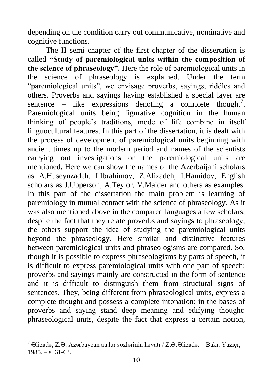depending on the condition carry out communicative, nominative and cognitive functions.

The II semi chapter of the first chapter of the dissertation is called **"Study of paremiological units within the composition of the science of phraseology".** Here the role of paremiological units in the science of phraseology is explained. Under the term "paremiological units", we envisage proverbs, sayings, riddles and others. Proverbs and sayings having established a special layer are sentence – like expressions denoting a complete thought<sup>7</sup>. Paremiological units being figurative cognition in the human thinking of people's traditions, mode of life combine in itself linguocultural features. In this part of the dissertation, it is dealt with the process of development of paremiological units beginning with ancient times up to the modern period and names of the scientists carrying out investigations on the paremiological units are mentioned. Here we can show the names of the Azerbaijani scholars as A.Huseynzadeh, I.Ibrahimov, Z.Alizadeh, I.Hamidov, English scholars as J.Upperson, A.Teylor, V.Maider and others as examples. In this part of the dissertation the main problem is learning of paremiology in mutual contact with the science of phraseology. As it was also mentioned above in the compared languages a few scholars, despite the fact that they relate proverbs and sayings to phraseology, the others support the idea of studying the paremiological units beyond the phraseology. Here similar and distinctive features between paremiological units and phraseologisms are compared. So, though it is possible to express phraseologisms by parts of speech, it is difficult to express paremiological units with one part of speech: proverbs and sayings mainly are constructed in the form of sentence and it is difficult to distinguish them from structural signs of sentences. They, being different from phraseological units, express a complete thought and possess a complete intonation: in the bases of proverbs and saying stand deep meaning and edifying thought: phraseological units, despite the fact that express a certain notion,

 $^7$  Əlizadə, Z.Ə. Azərbaycan atalar sözlərinin həyatı / Z.Ə.Əlizadə. – Bakı: Yazıçı, –  $1985. - s. 61-63.$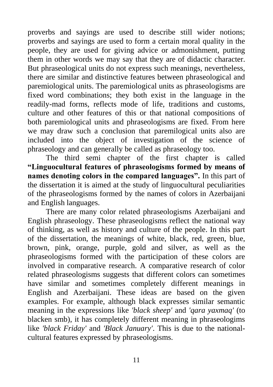proverbs and sayings are used to describe still wider notions; proverbs and sayings are used to form a certain moral quality in the people, they are used for giving advice or admonishment, putting them in other words we may say that they are of didactic character. But phraseological units do not express such meanings, nevertheless, there are similar and distinctive features between phraseological and paremiological units. The paremiological units as phraseologisms are fixed word combinations; they both exist in the language in the readily-mad forms, reflects mode of life, traditions and customs, culture and other features of this or that national compositions of both paremiological units and phraseologisms are fixed. From here we may draw such a conclusion that paremilogical units also are included into the object of investigation of the science of phraseology and can generally be called as phraseology too.

The third semi chapter of the first chapter is called **"Linguocultural features of phraseologisms formed by means of names denoting colors in the compared languages".** In this part of the dissertation it is aimed at the study of linguocultural peculiarities of the phraseologisms formed by the names of colors in Azerbaijani and English languages.

There are many color related phraseologisms Azerbaijani and English phraseology. These phraseologisms reflect the national way of thinking, as well as history and culture of the people. In this part of the dissertation, the meanings of white, black, red, green, blue, brown, pink, orange, purple, gold and silver, as well as the phraseologisms formed with the participation of these colors are involved in comparative research. A comparative research of color related phraseologisms suggests that different colors can sometimes have similar and sometimes completely different meanings in English and Azerbaijani. These ideas are based on the given examples. For example, although black expresses similar semantic meaning in the expressions like *'black sheep'* and *'qara yaxmaq'* (to blacken smb), it has completely different meaning in phraseologims like *'black Friday'* and *'Black January'*. This is due to the nationalcultural features expressed by phraseologisms.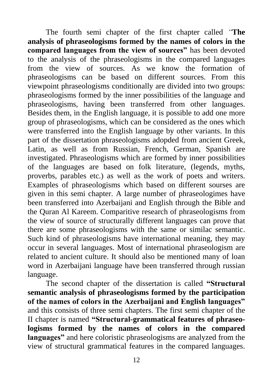The fourth semi chapter of the first chapter called *"***The analysis of phraseologisms formed by the names of colors in the compared languages from the view of sources"** has been devoted to the analysis of the phraseologisms in the compared languages from the view of sources. As we know the formation of phraseologisms can be based on different sources. From this viewpoint phraseologisms conditionally are divided into two groups: phraseologisms formed by the inner possibilities of the language and phraseologisms, having been transferred from other languages. Besides them, in the English language, it is possible to add one more group of phraseologisms, which can be considered as the ones which were transferred into the English language by other variants. In this part of the dissertation phraseologisms adopded from ancient Greek, Latin, as well as from Russian, French, German, Spanish are investigated. Phraseologisms which are formed by inner possibilities of the languages are based on folk literature, (legends, myths, proverbs, parables etc.) as well as the work of poets and writers. Examples of phraseologisms which based on different sourses are given in this semi chapter. A large number of phraseologimes have been transferred into Azerbaijani and English through the Bible and the Quran Al Kareem. Comparitive research of phraseologisms from the view of source of structurally different languages can prove that there are some phraseologisms with the same or similac semantic. Such kind of phraseologisms have international meaning, they may occur in several languages. Most of international phraseologism are related to ancient culture. It should also be mentioned many of loan word in Azerbaijani language have been transferred through russian language.

The second chapter of the dissertation is called **"Structural semantic analysis of phraseologisms formed by the participation of the names of colors in the Azerbaijani and English languages"** and this consists of three semi chapters. The first semi chapter of the II chapter is named **"Structural-grammatical features of phraseologisms formed by the names of colors in the compared languages"** and here coloristic phraseologisms are analyzed from the view of structural grammatical features in the compared languages.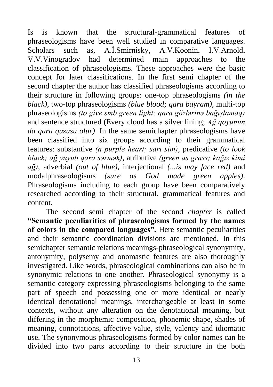Is is known that the structural-grammatical features of phraseologisms have been well studied in comparative languages. Scholars such as, A.İ.Smirnisky, A.V.Koonin, I.V.Arnold, V.V.Vinogradov had determined main approaches to the classification of phraseologisms. These approaches were the basic concept for later classifications. In the first semi chapter of the second chapter the author has classified phraseologisms according to their structure in following groups: one-top phraseologisms *(in the black)*, two-top phraseologisms *(blue blood; qara bayram)*, multi-top phraseologisms *(to give smb green light; qara gözlərinə bağışlamaq)* and sentence structured (Every cloud has a silver lining; *Ağ qoyunun da qara quzusu olur)*. In the same semichapter phraseologisms have been classified into six groups according to their grammatical features: substantive *(a purple heart; sarı sim)*, predicative *(to look black; ağ yuyub qara sərmək)*, atributive *(green as grass; kağız kimi ağ)*, adverbial *(out of blue),* interjectional *(...is may face red)* and modalphraseologisms *(sure as God made green apples)*. Phraseologisms including to each group have been comparatively researched according to their structural, grammatical features and content.

The second semi chapter of the second *chapter* is called **"Semantic peculiarities of phraseologisms formed by the names of colors in the compared languages".** Here semantic peculiarities and their semantic coordination divisions are mentioned. In this semichapter semantic relations meanings-phraseological synonymity, antonymity, polysemy and onomastic features are also thoroughly investigated. Like words, phraseological combinations can also be in synonymic relations to one another. Phraseological synonymy is a semantic category expressing phraseologisms belonging to the same part of speech and possessing one or more identical or nearly identical denotational meanings, interchangeable at least in some contexts, without any alteration on the denotational meaning, but differing in the morphemic composition, phonemic shape, shades of meaning, connotations, affective value, style, valency and idiomatic use. The synonymous phraseologisms formed by color names can be divided into two parts according to their structure in the both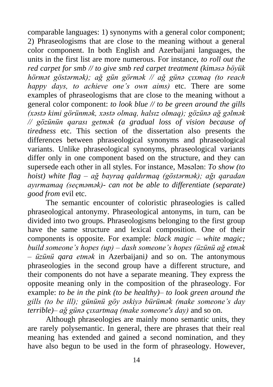comparable languages: 1) synonyms with a general color component; 2) Phraseologisms that are close to the meaning without a general color component. In both English and Azerbaijani languages, the units in the first list are more numerous. For instance, *to roll out the red carpet for smb // to give smb red carpet treatment (kiməsə böyük hörmət göstərmək); ağ gün görmək // ağ günə çıxmaq (to reach happy days, to achieve one's own aims)* etc. There are some examples of phraseologisms that are close to the meaning without a general color component: *to look blue // to be green around the gills (xəstə kimi görünmək, xəstə olmaq, halsız olmaq); gözünə ağ gəlmək // gözünün qarası getmək (a gradual loss of vision because of tiredness* etc. This section of the dissertation also presents the differences between phraseological synonyms and phraseological variants. Unlike phraseological synonyms, phraseological variants differ only in one component based on the structure, and they can supersede each other in all styles. For instance, Məsələn: *To show (to hoist) white flag – ağ bayraq qaldırmaq (göstərmək); ağı qaradan ayırmamaq (seçməmək)- can not be able to differentiate (separate) good from* evil etc.

The semantic encounter of coloristic phraseologies is called phraseological antonymy. Phraseological antonyms, in turn, can be divided into two groups. Phraseologisms belonging to the first group have the same structure and lexical composition. One of their components is opposite. For example: *black magic* – *white magic; build someone's hopes (up) – dash someone's hopes (üzünü ağ etmək – üzünü qara etmək* in Azerbaijani*)* and so on. The antonymous phraseologies in the second group have a different structure, and their components do not have a separate meaning. They express the opposite meaning only in the composition of the phraseology. For example: *to be in the pink (to be healthy)– to look green around the gills (to be ill); gününü göy əskiyə bürümək (make someone's day terrible)– ağ günə çıxartmaq (make someone's day)* and so on.

Although phraseologies are mainly mono semantic units, they are rarely polysemantic. In general, there are phrases that their real meaning has extended and gained a second nomination, and they have also begun to be used in the form of phraseology. However,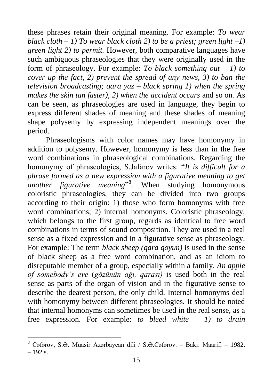these phrases retain their original meaning. For example: *To wear black cloth – 1) To wear black cloth 2) to be a priest; green light –1) green light 2) to permit.* However, both comparative languages have such ambiguous phraseologies that they were originally used in the form of phraseology. For example: *To black something out – 1) to cover up the fact, 2) prevent the spread of any news, 3) to ban the television broadcasting; qara yaz – black spring 1) when the spring makes the skin tan faster), 2) when the accident occurs* and so on*.* As can be seen, as phraseologies are used in language, they begin to express different shades of meaning and these shades of meaning shape polysemy by expressing independent meanings over the period.

Phraseologisms with color names may have homonymy in addition to polysemy. However, homonymy is less than in the free word combinations in phraseological combinations. Regarding the homonymy of phraseologies, S.Jafarov writes: "It is difficult for a *phrase formed as a new expression with a figurative meaning to get*  another figurative meaning<sup>"8</sup>. When studying homonymous coloristic phraseologies, they can be divided into two groups according to their origin: 1) those who form homonyms with free word combinations; 2) internal homonyms. Coloristic phraseology, which belongs to the first group, regards as identical to free word combinations in terms of sound composition. They are used in a real sense as a fixed expression and in a figurative sense as phraseology. For example: The term *black sheep (qara qoyun)* is used in the sense of black sheep as a free word combination, and as an idiom to disreputable member of a group, especially within a family. *An apple of somebody's eye* (*gözünün ağı, qarası)* is used both in the real sense as parts of the organ of vision and in the figurative sense to describe the dearest person, the only child. Internal homonyms deal with homonymy between different phraseologies. It should be noted that internal homonyms can sometimes be used in the real sense, as a free expression. For example: *to bleed white – 1) to drain* 

<sup>8</sup> Cəfərov, S.Ə. Müasir Azərbaycan dili / S.Ə.Cəfərov. – Bakı: Maarif, – 1982.  $-192$  s.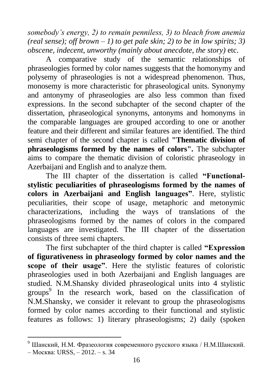*somebody's energy, 2) to remain penniless, 3) to bleach from anemia (real sense); off brown – 1) to get pale skin; 2) to be in low spirits; 3) obscene, indecent, unworthy (mainly about anecdote, the story)* etc.

A comparative study of the semantic relationships of phraseologies formed by color names suggests that the homonymy and polysemy of phraseologies is not a widespread phenomenon. Thus, monosemy is more characteristic for phraseological units. Synonymy and antonymy of phraseologies are also less common than fixed expressions. In the second subchapter of the second chapter of the dissertation, phraseological synonyms, antonyms and homonyms in the comparable languages are grouped according to one or another feature and their different and similar features are identified. The third semi chapter of the second chapter is called **"Thematic division of phraseologisms formed by the names of colors".** The subchapter aims to compare the thematic division of coloristic phraseology in Azerbaijani and English and to analyze them.

The III chapter of the dissertation is called **"Functionalstylistic peculiarities of phraseologisms formed by the names of colors in Azerbaijani and English languages"**. Here, stylistic peculiarities, their scope of usage, metaphoric and metonymic characterizations, including the ways of translations of the phraseologisms formed by the names of colors in the compared languages are investigated. The III chapter of the dissertation consists of three semi chapters.

The first subchapter of the third chapter is called **"Expression of figurativeness in phraseology formed by color names and the scope of their usage"**. Here the stylistic features of coloristic phraseologies used in both Azerbaijani and English languages are studied. N.M.Shansky divided phraseological units into 4 stylistic groups<sup>9</sup> In the research work, based on the classification of N.M.Shansky, we consider it relevant to group the phraseologisms formed by color names according to their functional and stylistic features as follows: 1) literary phraseologisms; 2) daily (spoken

<sup>9</sup> Шанский, Н.М. Фразеология современного русского языка / Н.М.Шанский.

<sup>–</sup> Москва: URSS, – 2012. – s. 34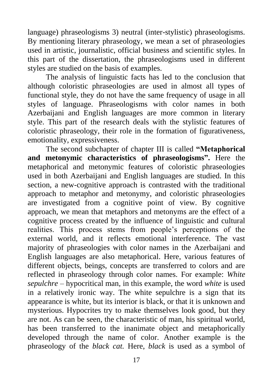language) phraseologisms 3) neutral (inter-stylistic) phraseologisms. By mentioning literary phraseology, we mean a set of phraseologies used in artistic, journalistic, official business and scientific styles. In this part of the dissertation, the phraseologisms used in different styles are studied on the basis of examples.

The analysis of linguistic facts has led to the conclusion that although coloristic phraseologies are used in almost all types of functional style, they do not have the same frequency of usage in all styles of language. Phraseologisms with color names in both Azerbaijani and English languages are more common in literary style. This part of the research deals with the stylistic features of coloristic phraseology, their role in the formation of figurativeness, emotionality, expressiveness.

The second subchapter of chapter III is called **"Metaphorical and metonymic characteristics of phraseologisms".** Here the metaphorical and metonymic features of coloristic phraseologies used in both Azerbaijani and English languages are studied. In this section, a new-cognitive approach is contrasted with the traditional approach to metaphor and metonymy, and coloristic phraseologies are investigated from a cognitive point of view. By cognitive approach, we mean that metaphors and metonyms are the effect of a cognitive process created by the influence of linguistic and cultural realities. This process stems from people's perceptions of the external world, and it reflects emotional interference. The vast majority of phraseologies with color names in the Azerbaijani and English languages are also metaphorical. Here, various features of different objects, beings, concepts are transferred to colors and are reflected in phraseology through color names. For example: *White sepulchre –* hypocritical man*,* in this example, the word *white* is used in a relatively ironic way. The white sepulchre is a sign that its appearance is white, but its interior is black, or that it is unknown and mysterious. Hypocrites try to make themselves look good, but they are not. As can be seen, the characteristic of man, his spiritual world, has been transferred to the inanimate object and metaphorically developed through the name of color. Another example is the phraseology of the *black cat.* Here, *black* is used as a symbol of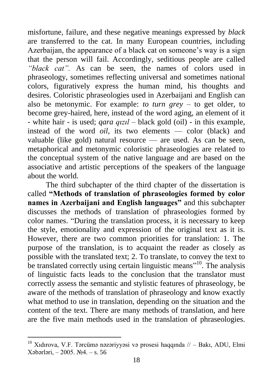misfortune, failure, and these negative meanings expressed by *black* are transferred to the cat. In many European countries, including Azerbaijan, the appearance of a black cat on someone's way is a sign that the person will fail. Accordingly, seditious people are called *"black cat".* As can be seen, the names of colors used in phraseology, sometimes reflecting universal and sometimes national colors, figuratively express the human mind, his thoughts and desires. Coloristic phraseologies used in Azerbaijani and English can also be metonymic. For example: *to turn grey* – to get older, to become grey-haired, here, instead of the word aging, an element of it - white hair - is used; *qara qızıl* – black gold (oil) - in this example, instead of the word *oil*, its two elements — color (black) and valuable (like gold) natural resource — are used. As can be seen, metaphorical and metonymic coloristic phraseologies are related to the conceptual system of the native language and are based on the associative and artistic perceptions of the speakers of the language about the world.

The third subchapter of the third chapter of the dissertation is called **"Methods of translation of phraseologies formed by color names in Azerbaijani and English languages"** and this subchapter discusses the methods of translation of phraseologies formed by color names. "During the translation process, it is necessary to keep the style, emotionality and expression of the original text as it is. However, there are two common priorities for translation: 1. The purpose of the translation, is to acquaint the reader as closely as possible with the translated text; 2. To translate, to convey the text to be translated correctly using certain linguistic means"<sup>10</sup>. The analysis of linguistic facts leads to the conclusion that the translator must correctly assess the semantic and stylistic features of phraseology, be aware of the methods of translation of phraseology and know exactly what method to use in translation, depending on the situation and the content of the text. There are many methods of translation, and here are the five main methods used in the translation of phraseologies.

 $10$  Xıdırova, V.F. Tərcümə nəzəriyyəsi və prosesi haqqında  $1/ -$  Bakı, ADU, Elmi Xəbərləri, – 2005. №4. – s. 56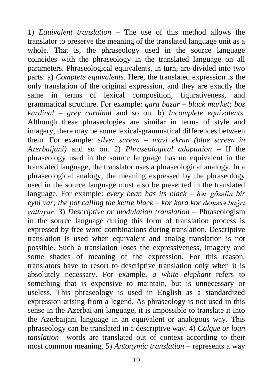1) *Equivalent translation* – The use of this method allows the translator to preserve the meaning of the translated language unit as a whole. That is, the phraseology used in the source language coincides with the phraseology in the translated language on all parameters. Phraseological equivalents, in turn, are divided into two parts: a) *Complete equivalents*. Here, the translated expression is the only translation of the original expression, and they are exactly the same in terms of lexical composition, figurativeness, and grammatical structure. For example: *qara bazar – black market; boz kardinal – grey cardinal* and so on*.* b) *Incomplete equivalents.*  Although these phraseologies are similar in terms of style and imagery, there may be some lexical-grammatical differences between them. For example: *silver screen – mavi ekran (blue screen in Azerbaijani)* and so on. 2) *Phraseological adaptation* – If the phraseology used in the source language has no equivalent in the translated language, the translator uses a phraseological analogy. In a phraseological analogy, the meaning expressed by the phraseology used in the source language must also be presented in the translated language. For example: *every bean has its black – hər gözəlin bir eybi var; the pot calling the kettle black – kor kora kor deməsə bağrı çatlayar.* 3) *Descriptive or modulation translation* – Phraseologism in the source language during this form of translation process is expressed by free word combinations during translation. Descriptive translation is used when equivalent and analog translation is not possible. Such a translation loses the expressiveness, imagery and some shades of meaning of the expression. For this reason, translators have to resort to descriptive translation only when it is absolutely necessary. For example, *a white elephant* refers to something that is expensive to maintain, but is unnecessary or useless. This phraseology is used in English as a standardized expression arising from a legend. As phraseology is not used in this sense in the Azerbaijani language, it is impossible to translate it into the Azerbaijani language in an equivalent or analogous way. This phraseology can be translated in a descriptive way. 4) *Calque or loan tanslation–* words are translated out of context according to their most common meaning. 5) *Antonymic translation –* represents a way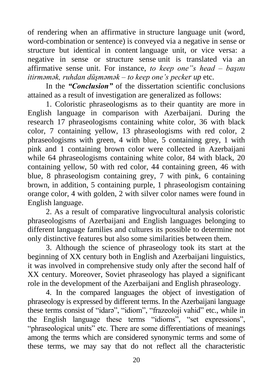of rendering when an affirmative in structure language unit (word, word-combination or sentence) is conveyed via a negative in sense or structure but identical in content language unit, or vice versa: a negative in sense or structure sense unit is translated via an affirmative sense unit. For instance, *to keep one"s head – başını itirməmək, ruhdan düşməmək – to keep one's pecker up* etc.

In the *"Conclusion"* of the dissertation scientific conclusions attained as a result of investigation are generalized as follows:

1. Coloristic phraseologisms as to their quantity are more in English language in comparison with Azerbaijani. During the research 17 phraseologisms containing white color, 36 with black color, 7 containing yellow, 13 phraseologisms with red color, 2 phraseologisms with green, 4 with blue, 5 containing grey, 1 with pink and 1 containing brown color were collected in Azerbaijani while 64 phraseologisms containing white color, 84 with black, 20 containing yellow, 50 with red color, 44 containing green, 46 with blue, 8 phraseologism containing grey, 7 with pink, 6 containing brown, in addition, 5 containing purple, 1 phraseologism containing orange color, 4 with golden, 2 with silver color names were found in English language.

2. As a result of comparative lingvocultural analysis coloristic phraseologisms of Azerbaijani and English languages belonging to different language families and cultures its possible to determine not only distinctive features but also some similarities between them.

3. Although the science of phraseology took its start at the beginning of XX century both in English and Azerbaijani linguistics, it was involved in comprehensive study only after the second half of XX century. Moreover, Soviet phraseology has played a significant role in the development of the Azerbaijani and English phraseology.

4. In the compared languages the object of investigation of phraseology is expressed by different terms. In the Azerbaijani language these terms consist of "idarə", "idiom", "frazeoloji vahid" etc., while in the English language these terms "idioms", "set expressions", "phraseological units" etc. There are some differentiations of meanings among the terms which are considered synonymic terms and some of these terms, we may say that do not reflect all the characteristic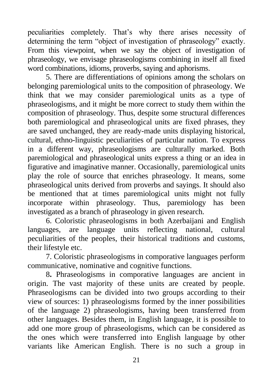peculiarities completely. That's why there arises necessity of determining the term "object of investigation of phraseology" exactly. From this viewpoint, when we say the object of investigation of phraseology, we envisage phraseologisms combining in itself all fixed word combinations, idioms, proverbs, saying and aphorisms.

5. There are differentiations of opinions among the scholars on belonging paremiological units to the composition of phraseology. We think that we may consider paremiological units as a type of phraseologisms, and it might be more correct to study them within the composition of phraseology. Thus, despite some structural differences both paremiological and phraseological units are fixed phrases, they are saved unchanged, they are ready-made units displaying historical, cultural, ethno-linguistic peculiarities of particular nation. To express in a different way, phraseologisms are culturally marked. Both paremiological and phraseological units express a thing or an idea in figurative and imaginative manner. Occasionally, paremiological units play the role of source that enriches phraseology. It means, some phraseological units derived from proverbs and sayings. It should also be mentioned that at times paremiological units might not fully incorporate within phraseology. Thus, paremiology has been investigated as a branch of phraseology in given research.

6. Coloristic phraseologisms in both Azerbaijani and English languages, are language units reflecting national, cultural peculiarities of the peoples, their historical traditions and customs, their lifestyle etc.

7. Coloristic phraseologisms in comporative languages perform communicative, nominative and cognitive functions.

8**.** Phraseologisms in comporative languages are ancient in origin. The vast majority of these units are created by people. Phraseologisms can be divided into two groups according to their view of sources: 1) phraseologisms formed by the inner possibilities of the language 2) phraseologisms, having been transferred from other languages. Besides them, in English language, it is possible to add one more group of phraseologisms, which can be considered as the ones which were transferred into English language by other variants like American English. There is no such a group in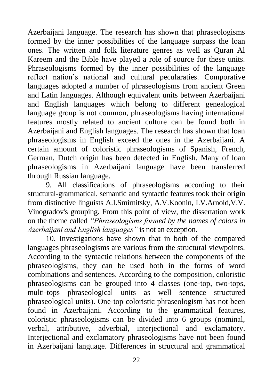Azerbaijani language. The research has shown that phraseologisms formed by the inner possibilities of the language surpass the loan ones. The written and folk literature genres as well as Quran Al Kareem and the Bible have played a role of source for these units. Phraseologisms formed by the inner possibilities of the language reflect nation's national and cultural pecularaties. Comporative languages adopted a number of phraseologisms from ancient Green and Latin languages. Although equivalent units between Azerbaijani and English languages which belong to different genealogical language group is not common, phraseologisms having international features mostly related to ancient culture can be found both in Azerbaijani and English languages. The research has shown that loan phraseologisms in English exceed the ones in the Azerbaijani. A certain amount of coloristic phraseologisms of Spanish, French, German, Dutch origin has been detected in English. Many of loan phraseologisms in Azerbaijani language have been transferred through Russian language.

9. All classifications of phraseologisms according to their structural-grammatical, semantic and syntactic features took their origin from distinctive linguists A.I.Smirnitsky, A.V.Koonin, I.V.Arnold,V.V. Vinogradov's grouping. From this point of view, the dissertation work on the theme called *"Phraseologisms formed by the names of colors in Azerbaijani and English languages"* is not an exception.

10. Investigations have shown that in both of the compared languages phraseologisms are various from the structural viewpoints. According to the syntactic relations between the components of the phraseologisms, they can be used both in the forms of word combinations and sentences. According to the composition, coloristic phraseologisms can be grouped into 4 classes (one-top, two-tops, multi-tops phraseological units as well sentence structured phraseological units). One-top coloristic phraseologism has not been found in Azerbaijani. According to the grammatical features, coloristic phraseologisms can be divided into 6 groups (nominal, verbal, attributive, adverbial, interjectional and exclamatory. Interjectional and exclamatory phraseologisms have not been found in Azerbaijani language. Differences in structural and grammatical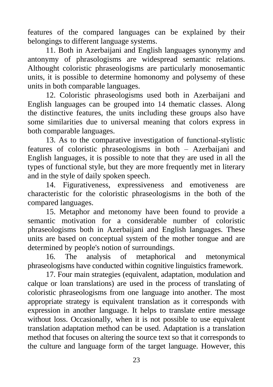features of the compared languages can be explained by their belongings to different language systems.

11. Both in Azerbaijani and English languages synonymy and antonymy of phrasologisms are widespread semantic relations. Althought coloristic phraseologisms are particularly monosemantic units, it is possible to determine homonomy and polysemy of these units in both comparable languages.

12. Coloristic phraseologisms used both in Azerbaijani and English languages can be grouped into 14 thematic classes. Along the distinctive features, the units including these groups also have some similarities due to universal meaning that colors express in both comparable languages.

13. As to the comparative investigation of functional-stylistic features of coloristic phraseologisms in both – Azerbaijani and English languages, it is possible to note that they are used in all the types of functional style, but they are more frequently met in literary and in the style of daily spoken speech.

14. Figurativeness, expressiveness and emotiveness are characteristic for the coloristic phraseologisms in the both of the compared languages.

15. Metaphor and metonomy have been found to provide a semantic motivation for a considerable number of coloristic phraseologisms both in Azerbaijani and English languages. These units are based on conceptual system of the mother tongue and are determined by people's notion of surroundings.

16. The analysis of metaphorical and metonymical phraseologisms have conducted within cognitive linguistics framework.

17. Four main strategies (equivalent, adaptation, modulation and calque or loan translations) are used in the process of translating of coloristic phraseologisms from one language into another. The most appropriate strategy is equivalent translation as it corresponds with expression in another language. It helps to translate entire message without loss. Occasionally, when it is not possible to use equivalent translation adaptation method can be used. Adaptation is a translation method that focuses on altering the source text so that it corresponds to the culture and language form of the target language. However, this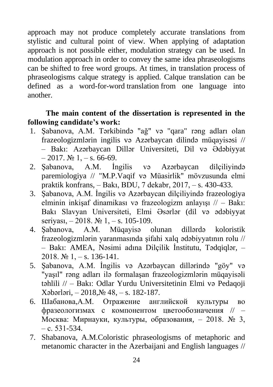approach may not produce completely accurate translations from stylistic and cultural point of view. When applying of adaptation approach is not possible either, modulation strategy can be used. In modulation approach in order to convey the same idea phraseologisms can be shifted to free word groups. At times, in translation process of phraseologisms calque strategy is applied. Calque translation can be defined as a word-for-word translation from one language into another.

### **The main content of the dissertation is represented in the following candidate's work:**

- 1. Şabanova, A.M. Tərkibində "ağ" və "qara" rəng adları olan frazeologizmlərin ingilis və Azərbaycan dilində müqayisəsi // – Bakı: Azərbaycan Dillər Universiteti, Dil və Ədəbiyyat  $-2017.$   $\text{Ne } 1, -\text{s}$ . 66-69.
- 2. Şabanova, A.M. İngilis və Azərbaycan dilçiliyində paremiologiya // "M.P.Vaqif və Müasirlik" mövzusunda elmi praktik konfrans, – Bakı, BDU, 7 dekabr, 2017, – s. 430-433.
- 3. Şabanova, A.M. İngilis və Azərbaycan dilçiliyində frazeologiya elminin inkişaf dinamikası və frazeologizm anlayışı // – Bakı: Bakı Slavyan Universiteti, Elmi Əsərlər (dil və ədəbiyyat seriyası,  $-2018$ .  $\mathbb{N} \times 1$ ,  $-$  s. 105-109.
- 4. Şabanova, A.M. Müqayisə olunan dillərdə koloristik frazeologizmlərin yaranmasında şifahi xalq ədəbiyyatının rolu // – Bakı: AMEA, Nəsimi adına Dilçilik İnstitutu, Tədqiqlər, – 2018.  $\mathbb{N} \times 1$ , - s. 136-141.
- 5. Şabanova, A.M. İngilis və Azərbaycan dillərində "göy" və "yaşıl" rəng adları ilə formalaşan frazeologizmlərin müqayisəli təhlili // – Bakı: Odlar Yurdu Universitetinin Elmi və Pedaqoji Xəbərləri, – 2018,№ 48, – s. 182-187.
- 6. Шабанова,А.М. Отражение английской культуры во фразеологизмах с компонентом цветообозначения // – Москва: Мирнауки, культуры, образования, – 2018. № 3, – c. 531-534.
- 7. Shabanova, A.M.Coloristic phraseologisms of metaphoric and metanomic character in the Azerbaijani and English languages //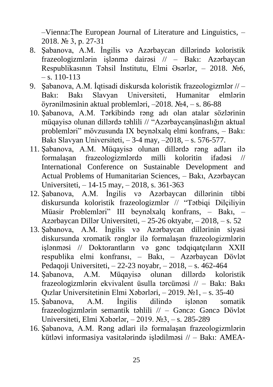–Vienna:The European Journal of Literature and Linguistics, – 2018. № 3, p. 27-31

- 8. Şabanova, A.M. İngilis və Azərbaycan dillərində koloristik frazeologizmlərin işlənmə dairəsi // – Bakı: Azərbaycan Respublikasının Təhsil İnstitutu, Elmi Əsərlər, – 2018. №6,  $-$ s. 110-113
- 9. Şabanova, A.M. İqtisadi diskursda koloristik frazeologizmlər // Bakı: Bakı Slavyan Universiteti, Humanitar elmlərin öyrənilməsinin aktual problemləri, –2018. №4, – s. 86-88
- 10. Şabanova, A.M. Tərkibində rəng adı olan atalar sözlərinin müqayisə olunan dillərdə təhlili // "Azərbaycansünaslığın aktual problemləri‖ mövzusunda IX beynəlxalq elmi konfrans, – Bakı: Bakı Slavyan Universiteti, – 3-4 may, –2018, – s. 576-577.
- 11. Şabanova, A.M. Müqayisə olunan dillərdə rəng adları ilə formalaşan frazeologizmlərdə milli koloritin ifadəsi // International Conference on Sustainable Development and Actual Problems of Humanitarian Sciences, – Bakı, Azərbaycan Universiteti, – 14-15 may, – 2018, s. 361-363
- 12. Şabanova, A.M. İngilis və Azərbaycan dillərinin tibbi diskursunda koloristik frazeologizmlər // "Tətbiqi Dilçiliyin Müasir Problemləri" III beynəlxalq konfrans, – Bakı, – Azərbaycan Dillər Universiteti, – 25-26 oktyabr, – 2018, – s. 52
- 13. Şabanova, A.M. İngilis və Azərbaycan dillərinin siyasi diskursunda xromatik rənglər ilə formalaşan frazeologizmlərin işlənməsi // Doktorantların və gənc tədqiqatçıların XXII respublika elmi konfransı, – Bakı, – Azərbaycan Dövlət Pedaqoji Universiteti, – 22-23 noyabr, – 2018, – s. 462-464
- 14. Şabanova, A.M. Müqayisə olunan dillərdə koloristik frazeologizmlərin ekvivalent üsulla tərcüməsi // – Bakı: Bakı Qızlar Universitetinin Elmi Xəbərləri, – 2019. №1, – s. 35-40
- 15. Şabanova, A.M. İngilis dilində işlənən somatik frazeologizmlərin semantik təhlili // – Gəncə: Gəncə Dövlət Universiteti, Elmi Xəbərlər, – 2019. №3, – s. 285-289
- 16. Şabanova, A.M. Rəng adlari ilə formalaşan frazeologizmlərin kütləvi informasiya vasitələrində işlədilməsi // – Bakı: AMEA-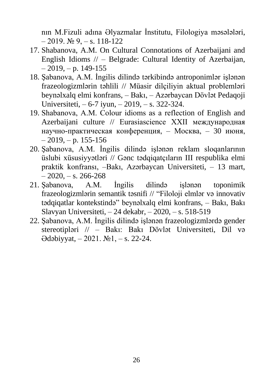nın M.Fizuli adına Əlyazmalar İnstitutu, Filologiya məsələləri,  $-2019.$   $\text{Ne } 9. - \text{s}$ . 118-122

- 17. Shabanova, A.M. On Cultural Connotations of Azerbaijani and English Idioms // – Belgrade: Cultural Identity of Azerbaijan,  $-2019$ ,  $- p. 149 - 155$
- 18. Şabanova, A.M. İngilis dilində tərkibində antroponimlər işlənən frazeologizmlərin təhlili // Müasir dilçiliyin aktual problemləri beynəlxalq elmi konfrans, – Bakı, – Azərbaycan Dövlət Pedaqoji Universiteti, – 6-7 iyun, – 2019, – s. 322-324.
- 19. Shabanova, А.М. Colour idioms as a reflection of English and Azerbaijani culture // Eurasiascience XXII международная научно-практическая конференция, – Москва, – 30 июня,  $-2019$ ,  $- p. 155 - 156$
- 20. Şabanova, A.M. İngilis dilində işlənən reklam sloqanlarının üslubi xüsusiyyətləri // Gənc tədqiqatçıların III respublika elmi praktik konfransı, –Bakı, Azərbaycan Universiteti, – 13 mart,  $-2020, -s. 266-268$
- 21. Şabanova, A.M. İngilis dilində işlənən toponimik frazeologizmlərin semantik təsnifi // "Filoloji elmlər və innovativ tədqiqatlar kontekstində" beynəlxalq elmi konfrans, - Bakı, Bakı Slavyan Universiteti, – 24 dekabr, – 2020, – s. 518-519
- 22. Şabanova, A.M. İngilis dilində işlənən frazeologizmlərdə gender stereotipləri // – Bakı: Bakı Dövlət Universiteti, Dil və Ədəbiyyat, – 2021. №1, – s. 22-24.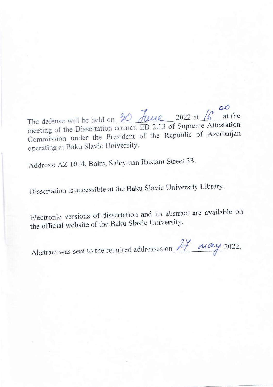$\frac{1}{2}$  at the The defense will be held on  $\frac{1}{\sqrt{2}}$  and  $\frac{1}{\sqrt{2}}$  of Supreme Attestation meeting of the Dissertation council  $LD$  2.15 of September 2.18 Commission under the President  $\sigma$ 

Address: AZ 1014, Baku, Suleyman Rustam Street 33.

Dissertation is accessible at the Baku Slavic University Library.

Electronic versions of dissertation and its abstract are available on the official website of the Baku Slavic University.

Abstract was sent to the required addresses on  $\overrightarrow{A}$   $\overrightarrow{M}$   $\alpha y$  2022.